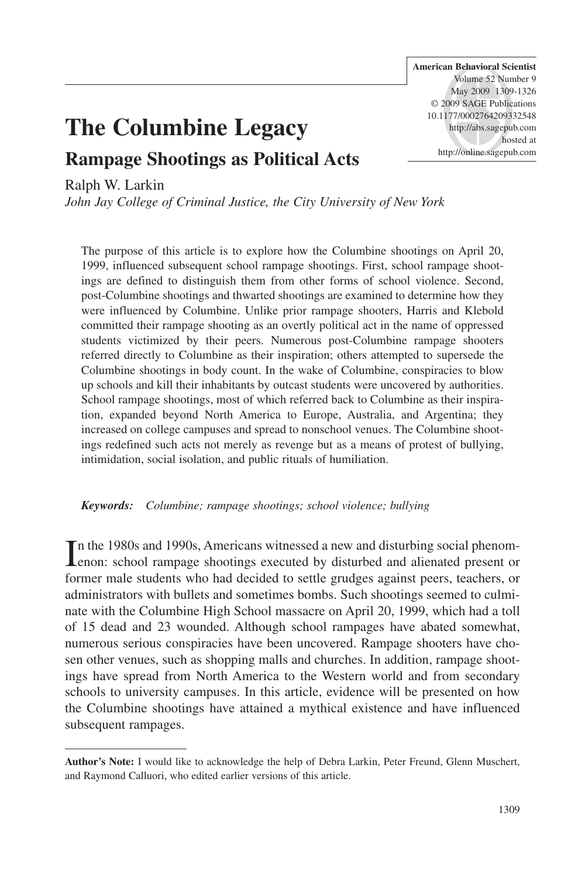# **The Columbine Legacy**

## **Rampage Shootings as Political Acts**

**American Behavioral Scientist** Volume 52 Number 9 May 2009 1309-1326 © 2009 SAGE Publications 10.1177/0002764209332548 http://abs.sagepub.com hosted at http://online.sagepub.com

Ralph W. Larkin

*John Jay College of Criminal Justice, the City University of New York*

The purpose of this article is to explore how the Columbine shootings on April 20, 1999, influenced subsequent school rampage shootings. First, school rampage shootings are defined to distinguish them from other forms of school violence. Second, post-Columbine shootings and thwarted shootings are examined to determine how they were influenced by Columbine. Unlike prior rampage shooters, Harris and Klebold committed their rampage shooting as an overtly political act in the name of oppressed students victimized by their peers. Numerous post-Columbine rampage shooters referred directly to Columbine as their inspiration; others attempted to supersede the Columbine shootings in body count. In the wake of Columbine, conspiracies to blow up schools and kill their inhabitants by outcast students were uncovered by authorities. School rampage shootings, most of which referred back to Columbine as their inspiration, expanded beyond North America to Europe, Australia, and Argentina; they increased on college campuses and spread to nonschool venues. The Columbine shootings redefined such acts not merely as revenge but as a means of protest of bullying, intimidation, social isolation, and public rituals of humiliation.

#### *Keywords: Columbine; rampage shootings; school violence; bullying*

In the 1980s and 1990s, Americans witnessed a new and disturbing social phenom-<br>Lenon: school rampage shootings executed by disturbed and alienated present or **L**enon: school rampage shootings executed by disturbed and alienated present or former male students who had decided to settle grudges against peers, teachers, or administrators with bullets and sometimes bombs. Such shootings seemed to culminate with the Columbine High School massacre on April 20, 1999, which had a toll of 15 dead and 23 wounded. Although school rampages have abated somewhat, numerous serious conspiracies have been uncovered. Rampage shooters have chosen other venues, such as shopping malls and churches. In addition, rampage shootings have spread from North America to the Western world and from secondary schools to university campuses. In this article, evidence will be presented on how the Columbine shootings have attained a mythical existence and have influenced subsequent rampages.

**Author's Note:** I would like to acknowledge the help of Debra Larkin, Peter Freund, Glenn Muschert, and Raymond Calluori, who edited earlier versions of this article.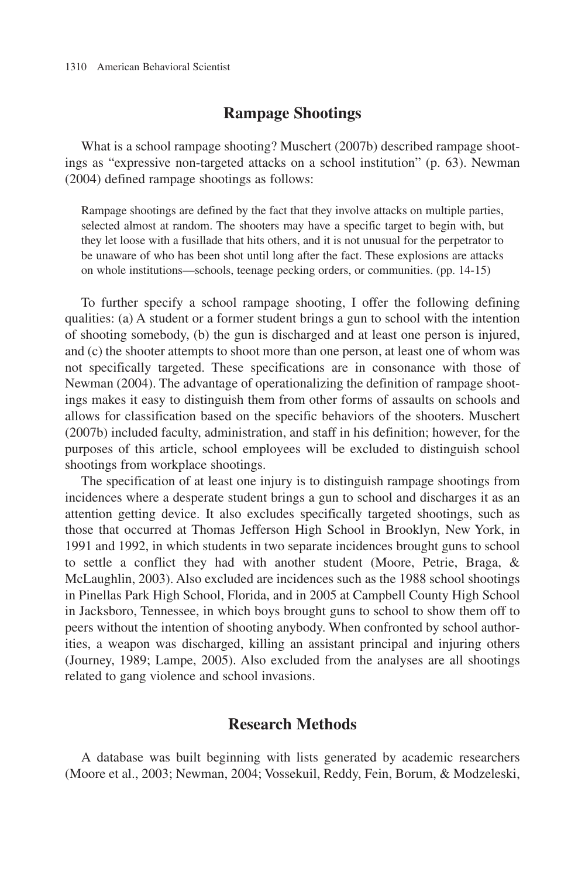### **Rampage Shootings**

What is a school rampage shooting? Muschert (2007b) described rampage shootings as "expressive non-targeted attacks on a school institution" (p. 63). Newman (2004) defined rampage shootings as follows:

Rampage shootings are defined by the fact that they involve attacks on multiple parties, selected almost at random. The shooters may have a specific target to begin with, but they let loose with a fusillade that hits others, and it is not unusual for the perpetrator to be unaware of who has been shot until long after the fact. These explosions are attacks on whole institutions—schools, teenage pecking orders, or communities. (pp. 14-15)

To further specify a school rampage shooting, I offer the following defining qualities: (a) A student or a former student brings a gun to school with the intention of shooting somebody, (b) the gun is discharged and at least one person is injured, and (c) the shooter attempts to shoot more than one person, at least one of whom was not specifically targeted. These specifications are in consonance with those of Newman (2004). The advantage of operationalizing the definition of rampage shootings makes it easy to distinguish them from other forms of assaults on schools and allows for classification based on the specific behaviors of the shooters. Muschert (2007b) included faculty, administration, and staff in his definition; however, for the purposes of this article, school employees will be excluded to distinguish school shootings from workplace shootings.

The specification of at least one injury is to distinguish rampage shootings from incidences where a desperate student brings a gun to school and discharges it as an attention getting device. It also excludes specifically targeted shootings, such as those that occurred at Thomas Jefferson High School in Brooklyn, New York, in 1991 and 1992, in which students in two separate incidences brought guns to school to settle a conflict they had with another student (Moore, Petrie, Braga, & McLaughlin, 2003). Also excluded are incidences such as the 1988 school shootings in Pinellas Park High School, Florida, and in 2005 at Campbell County High School in Jacksboro, Tennessee, in which boys brought guns to school to show them off to peers without the intention of shooting anybody. When confronted by school authorities, a weapon was discharged, killing an assistant principal and injuring others (Journey, 1989; Lampe, 2005). Also excluded from the analyses are all shootings related to gang violence and school invasions.

#### **Research Methods**

A database was built beginning with lists generated by academic researchers (Moore et al., 2003; Newman, 2004; Vossekuil, Reddy, Fein, Borum, & Modzeleski,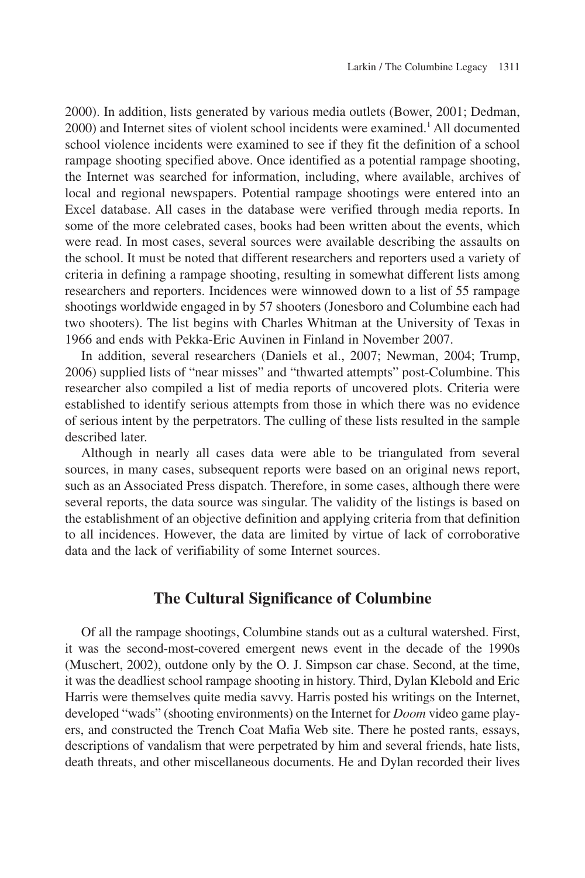2000). In addition, lists generated by various media outlets (Bower, 2001; Dedman, 2000) and Internet sites of violent school incidents were examined.<sup>1</sup> All documented school violence incidents were examined to see if they fit the definition of a school rampage shooting specified above. Once identified as a potential rampage shooting, the Internet was searched for information, including, where available, archives of local and regional newspapers. Potential rampage shootings were entered into an Excel database. All cases in the database were verified through media reports. In some of the more celebrated cases, books had been written about the events, which were read. In most cases, several sources were available describing the assaults on the school. It must be noted that different researchers and reporters used a variety of criteria in defining a rampage shooting, resulting in somewhat different lists among researchers and reporters. Incidences were winnowed down to a list of 55 rampage shootings worldwide engaged in by 57 shooters (Jonesboro and Columbine each had two shooters). The list begins with Charles Whitman at the University of Texas in 1966 and ends with Pekka-Eric Auvinen in Finland in November 2007.

In addition, several researchers (Daniels et al., 2007; Newman, 2004; Trump, 2006) supplied lists of "near misses" and "thwarted attempts" post-Columbine. This researcher also compiled a list of media reports of uncovered plots. Criteria were established to identify serious attempts from those in which there was no evidence of serious intent by the perpetrators. The culling of these lists resulted in the sample described later.

Although in nearly all cases data were able to be triangulated from several sources, in many cases, subsequent reports were based on an original news report, such as an Associated Press dispatch. Therefore, in some cases, although there were several reports, the data source was singular. The validity of the listings is based on the establishment of an objective definition and applying criteria from that definition to all incidences. However, the data are limited by virtue of lack of corroborative data and the lack of verifiability of some Internet sources.

#### **The Cultural Significance of Columbine**

Of all the rampage shootings, Columbine stands out as a cultural watershed. First, it was the second-most-covered emergent news event in the decade of the 1990s (Muschert, 2002), outdone only by the O. J. Simpson car chase. Second, at the time, it was the deadliest school rampage shooting in history. Third, Dylan Klebold and Eric Harris were themselves quite media savvy. Harris posted his writings on the Internet, developed "wads" (shooting environments) on the Internet for *Doom* video game players, and constructed the Trench Coat Mafia Web site. There he posted rants, essays, descriptions of vandalism that were perpetrated by him and several friends, hate lists, death threats, and other miscellaneous documents. He and Dylan recorded their lives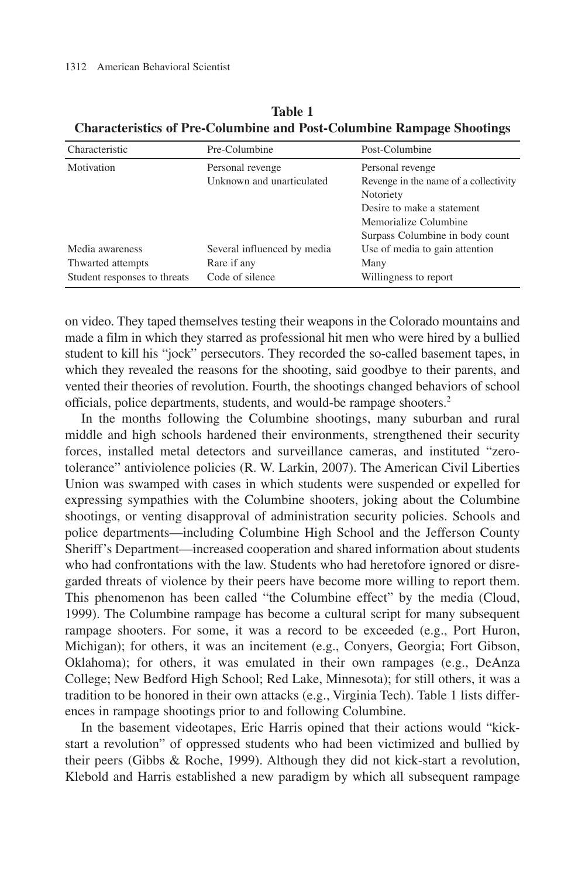| Pre-Columbine               | Post-Columbine                        |
|-----------------------------|---------------------------------------|
| Personal revenge            | Personal revenge                      |
| Unknown and unarticulated   | Revenge in the name of a collectivity |
|                             | Notoriety                             |
|                             | Desire to make a statement            |
|                             | Memorialize Columbine                 |
|                             | Surpass Columbine in body count       |
| Several influenced by media | Use of media to gain attention        |
| Rare if any                 | Many                                  |
| Code of silence             | Willingness to report                 |
|                             |                                       |

**Table 1 Characteristics of Pre-Columbine and Post-Columbine Rampage Shootings**

on video. They taped themselves testing their weapons in the Colorado mountains and made a film in which they starred as professional hit men who were hired by a bullied student to kill his "jock" persecutors. They recorded the so-called basement tapes, in which they revealed the reasons for the shooting, said goodbye to their parents, and vented their theories of revolution. Fourth, the shootings changed behaviors of school officials, police departments, students, and would-be rampage shooters.2

In the months following the Columbine shootings, many suburban and rural middle and high schools hardened their environments, strengthened their security forces, installed metal detectors and surveillance cameras, and instituted "zerotolerance" antiviolence policies (R. W. Larkin, 2007). The American Civil Liberties Union was swamped with cases in which students were suspended or expelled for expressing sympathies with the Columbine shooters, joking about the Columbine shootings, or venting disapproval of administration security policies. Schools and police departments—including Columbine High School and the Jefferson County Sheriff's Department—increased cooperation and shared information about students who had confrontations with the law. Students who had heretofore ignored or disregarded threats of violence by their peers have become more willing to report them. This phenomenon has been called "the Columbine effect" by the media (Cloud, 1999). The Columbine rampage has become a cultural script for many subsequent rampage shooters. For some, it was a record to be exceeded (e.g., Port Huron, Michigan); for others, it was an incitement (e.g., Conyers, Georgia; Fort Gibson, Oklahoma); for others, it was emulated in their own rampages (e.g., DeAnza College; New Bedford High School; Red Lake, Minnesota); for still others, it was a tradition to be honored in their own attacks (e.g., Virginia Tech). Table 1 lists differences in rampage shootings prior to and following Columbine.

In the basement videotapes, Eric Harris opined that their actions would "kickstart a revolution" of oppressed students who had been victimized and bullied by their peers (Gibbs & Roche, 1999). Although they did not kick-start a revolution, Klebold and Harris established a new paradigm by which all subsequent rampage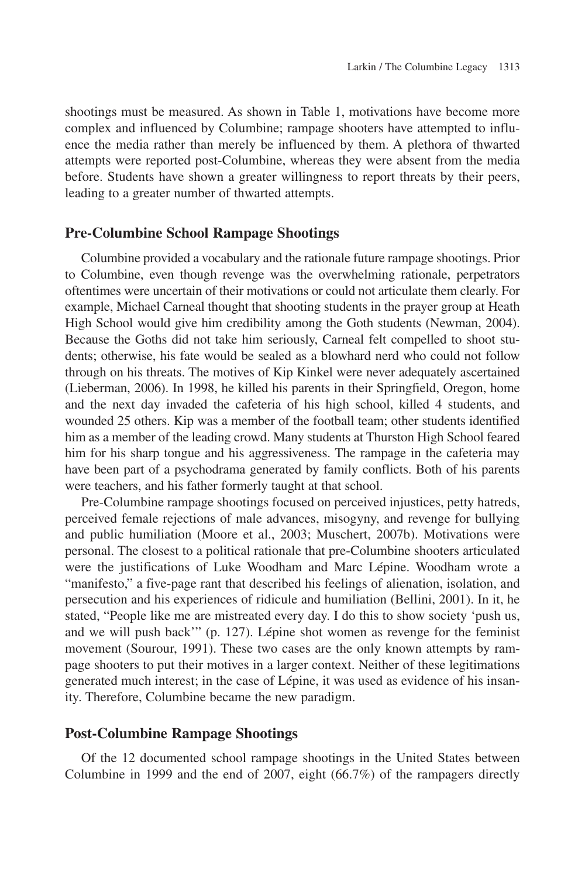shootings must be measured. As shown in Table 1, motivations have become more complex and influenced by Columbine; rampage shooters have attempted to influence the media rather than merely be influenced by them. A plethora of thwarted attempts were reported post-Columbine, whereas they were absent from the media before. Students have shown a greater willingness to report threats by their peers, leading to a greater number of thwarted attempts.

#### **Pre-Columbine School Rampage Shootings**

Columbine provided a vocabulary and the rationale future rampage shootings. Prior to Columbine, even though revenge was the overwhelming rationale, perpetrators oftentimes were uncertain of their motivations or could not articulate them clearly. For example, Michael Carneal thought that shooting students in the prayer group at Heath High School would give him credibility among the Goth students (Newman, 2004). Because the Goths did not take him seriously, Carneal felt compelled to shoot students; otherwise, his fate would be sealed as a blowhard nerd who could not follow through on his threats. The motives of Kip Kinkel were never adequately ascertained (Lieberman, 2006). In 1998, he killed his parents in their Springfield, Oregon, home and the next day invaded the cafeteria of his high school, killed 4 students, and wounded 25 others. Kip was a member of the football team; other students identified him as a member of the leading crowd. Many students at Thurston High School feared him for his sharp tongue and his aggressiveness. The rampage in the cafeteria may have been part of a psychodrama generated by family conflicts. Both of his parents were teachers, and his father formerly taught at that school.

Pre-Columbine rampage shootings focused on perceived injustices, petty hatreds, perceived female rejections of male advances, misogyny, and revenge for bullying and public humiliation (Moore et al., 2003; Muschert, 2007b). Motivations were personal. The closest to a political rationale that pre-Columbine shooters articulated were the justifications of Luke Woodham and Marc Lépine. Woodham wrote a "manifesto," a five-page rant that described his feelings of alienation, isolation, and persecution and his experiences of ridicule and humiliation (Bellini, 2001). In it, he stated, "People like me are mistreated every day. I do this to show society 'push us, and we will push back'" (p. 127). Lépine shot women as revenge for the feminist movement (Sourour, 1991). These two cases are the only known attempts by rampage shooters to put their motives in a larger context. Neither of these legitimations generated much interest; in the case of Lépine, it was used as evidence of his insanity. Therefore, Columbine became the new paradigm.

#### **Post-Columbine Rampage Shootings**

Of the 12 documented school rampage shootings in the United States between Columbine in 1999 and the end of 2007, eight (66.7%) of the rampagers directly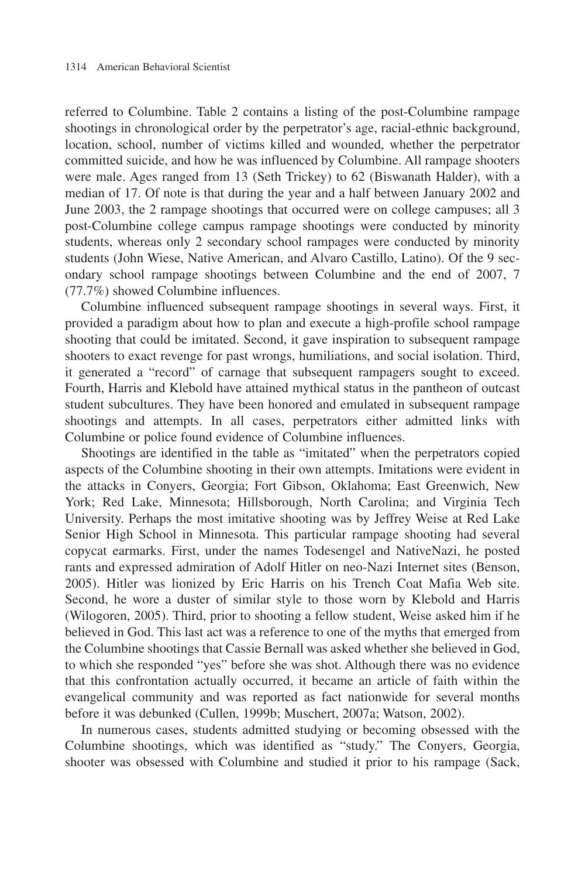referred to Columbine. Table 2 contains a listing of the post-Columbine rampage shootings in chronological order by the perpetrator's age, racial-ethnic background, location, school, number of victims killed and wounded, whether the perpetrator committed suicide, and how he was influenced by Columbine. All rampage shooters were male. Ages ranged from 13 (Seth Trickey) to 62 (Biswanath Halder), with a median of 17. Of note is that during the year and a half between January 2002 and June 2003, the 2 rampage shootings that occurred were on college campuses; all 3 post-Columbine college campus rampage shootings were conducted by minority students, whereas only 2 secondary school rampages were conducted by minority students (John Wiese, Native American, and Alvaro Castillo, Latino). Of the 9 secondary school rampage shootings between Columbine and the end of 2007, 7 (77.7%) showed Columbine influences.

Columbine influenced subsequent rampage shootings in several ways. First, it provided a paradigm about how to plan and execute a high-profile school rampage shooting that could be imitated. Second, it gave inspiration to subsequent rampage shooters to exact revenge for past wrongs, humiliations, and social isolation. Third, it generated a "record" of carnage that subsequent rampagers sought to exceed. Fourth, Harris and Klebold have attained mythical status in the pantheon of outcast student subcultures. They have been honored and emulated in subsequent rampage shootings and attempts. In all cases, perpetrators either admitted links with Columbine or police found evidence of Columbine influences.

Shootings are identified in the table as "imitated" when the perpetrators copied aspects of the Columbine shooting in their own attempts. Imitations were evident in the attacks in Conyers, Georgia; Fort Gibson, Oklahoma; East Greenwich, New York; Red Lake, Minnesota; Hillsborough, North Carolina; and Virginia Tech University. Perhaps the most imitative shooting was by Jeffrey Weise at Red Lake Senior High School in Minnesota. This particular rampage shooting had several copycat earmarks. First, under the names Todesengel and NativeNazi, he posted rants and expressed admiration of Adolf Hitler on neo-Nazi Internet sites (Benson, 2005). Hitler was lionized by Eric Harris on his Trench Coat Mafia Web site. Second, he wore a duster of similar style to those worn by Klebold and Harris (Wilogoren, 2005). Third, prior to shooting a fellow student, Weise asked him if he believed in God. This last act was a reference to one of the myths that emerged from the Columbine shootings that Cassie Bernall was asked whether she believed in God, to which she responded "yes" before she was shot. Although there was no evidence that this confrontation actually occurred, it became an article of faith within the evangelical community and was reported as fact nationwide for several months before it was debunked (Cullen, 1999b; Muschert, 2007a; Watson, 2002).

In numerous cases, students admitted studying or becoming obsessed with the Columbine shootings, which was identified as "study." The Conyers, Georgia, shooter was obsessed with Columbine and studied it prior to his rampage (Sack,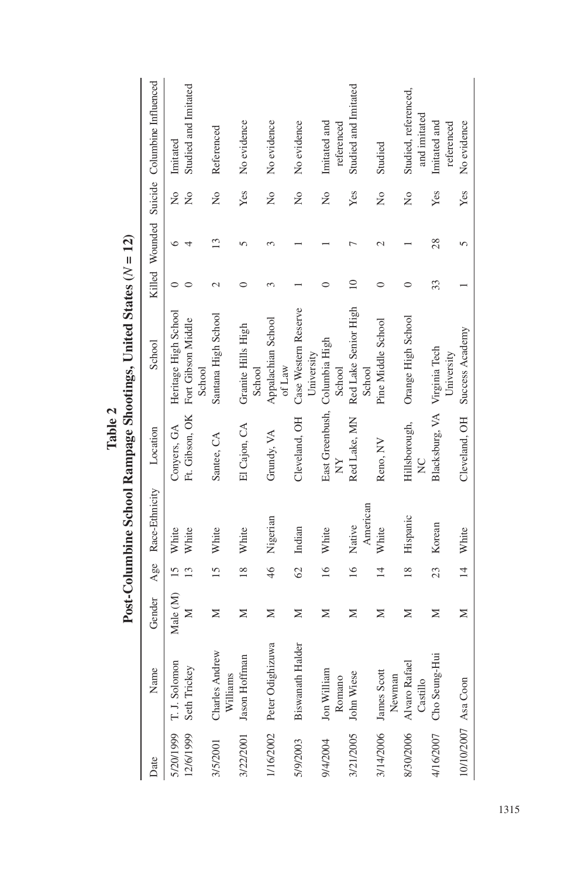|           |                            |          |                 |                    | Laloie 4                           | Post-Columbine School Rampage Shootings, United States (N = 12) |                          |                          |                         |                                             |
|-----------|----------------------------|----------|-----------------|--------------------|------------------------------------|-----------------------------------------------------------------|--------------------------|--------------------------|-------------------------|---------------------------------------------|
| Date      | Name                       | Gender   | Age             | Race-Ethnicity     | Location                           | School                                                          |                          |                          |                         | Killed Wounded Suicide Columbine Influenced |
| 5/20/1999 | T. J. Solomon              | Male (M) | 15              | White              | Conyers, GA                        | Heritage High School                                            | $\circ$                  |                          | $\overline{\mathsf{X}}$ | Imitated                                    |
| 12/6/1999 | Seth Trickey               | z        | $\overline{13}$ | White              |                                    | Ft. Gibson, OK Fort Gibson Middle<br>School                     |                          |                          | ż                       | Studied and Imitated                        |
| 3/5/2001  | Charles Andrew<br>Williams | Σ        | $15 \,$         | White              | Santee, CA                         | Santana High School                                             | $\overline{\mathcal{C}}$ | $\frac{3}{2}$            | ż                       | Referenced                                  |
| 3/22/2001 | Jason Hoffman              | z        | $\frac{8}{2}$   | White              | El Cajon, CA                       | Granite Hills High<br>School                                    | $\mathord{\subset}$      | $\sqrt{2}$               | Yes                     | No evidence                                 |
| 1/16/2002 | Peter Odighizuwa           | ≍        | $\frac{4}{6}$   | Nigerian           | Grundy, VA                         | Appalachian School<br>of Law                                    |                          |                          | ż                       | No evidence                                 |
| 5/9/2003  | Biswanath Halder           | z        | $\infty$        | Indian             | Cleveland, OH                      | Case Western Reserve<br>University                              |                          |                          | ż                       | No evidence                                 |
| 9/4/2004  | Jon William<br>Romano      | z        | $\frac{6}{1}$   | White              | East Greenbush, Columbia High<br>Ř | School                                                          |                          |                          | ż                       | Imitated and<br>referenced                  |
| 3/21/2005 | John Wiese                 | ≍        | $\leq$          | American<br>Native | Red Lake, MN                       | Red Lake Senior High<br>School                                  | $\overline{10}$          |                          | Yes                     | Studied and Imitated                        |
| 3/14/2006 | James Scott<br>Newman      | z        | $\overline{1}$  | White              | Reno, NV                           | Pine Middle School                                              | 0                        | $\overline{\mathcal{C}}$ | ż                       | Studied                                     |
| 8/30/2006 | Alvaro Rafael<br>Castillo  | z        | $\frac{8}{2}$   | Hispanic           | Hillsborough,<br>ă                 | Orange High School                                              | 0                        |                          | ż                       | Studied, referenced,<br>and imitated        |
| 4/16/2007 | Cho Seung-Hui              | ≍        | 23              | Korean             | Blacksburg, VA                     | Virginia Tech<br>University                                     | 33                       | 28                       | Yes                     | Imitated and<br>referenced                  |
|           | 10/10/2007 Asa Coon        | Σ        | $\overline{4}$  | White              | Cleveland, OH                      | Success Academy                                                 |                          | $\sqrt{2}$               | Yes                     | No evidence                                 |

 $\vec{c}$ **Table 2** ්ර

1315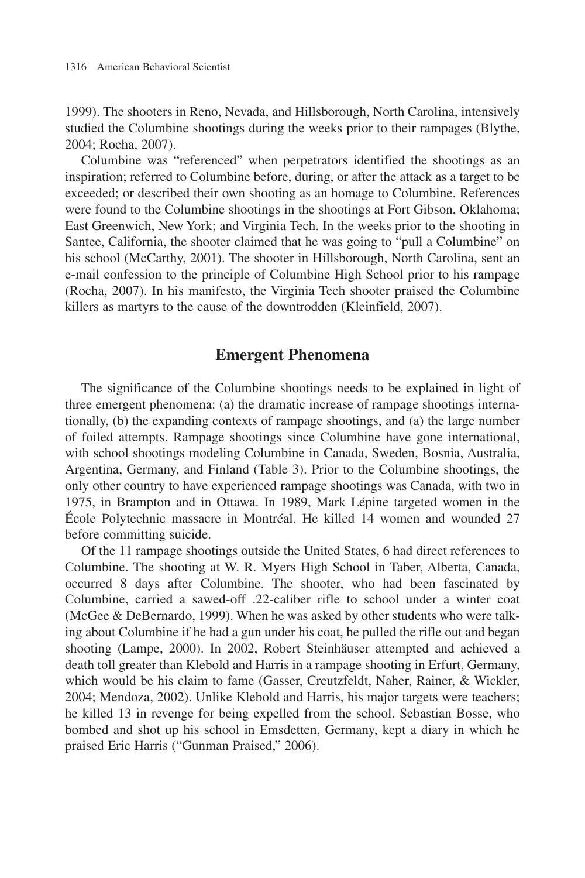1999). The shooters in Reno, Nevada, and Hillsborough, North Carolina, intensively studied the Columbine shootings during the weeks prior to their rampages (Blythe, 2004; Rocha, 2007).

Columbine was "referenced" when perpetrators identified the shootings as an inspiration; referred to Columbine before, during, or after the attack as a target to be exceeded; or described their own shooting as an homage to Columbine. References were found to the Columbine shootings in the shootings at Fort Gibson, Oklahoma; East Greenwich, New York; and Virginia Tech. In the weeks prior to the shooting in Santee, California, the shooter claimed that he was going to "pull a Columbine" on his school (McCarthy, 2001). The shooter in Hillsborough, North Carolina, sent an e-mail confession to the principle of Columbine High School prior to his rampage (Rocha, 2007). In his manifesto, the Virginia Tech shooter praised the Columbine killers as martyrs to the cause of the downtrodden (Kleinfield, 2007).

#### **Emergent Phenomena**

The significance of the Columbine shootings needs to be explained in light of three emergent phenomena: (a) the dramatic increase of rampage shootings internationally, (b) the expanding contexts of rampage shootings, and (a) the large number of foiled attempts. Rampage shootings since Columbine have gone international, with school shootings modeling Columbine in Canada, Sweden, Bosnia, Australia, Argentina, Germany, and Finland (Table 3). Prior to the Columbine shootings, the only other country to have experienced rampage shootings was Canada, with two in 1975, in Brampton and in Ottawa. In 1989, Mark Lépine targeted women in the École Polytechnic massacre in Montréal. He killed 14 women and wounded 27 before committing suicide.

Of the 11 rampage shootings outside the United States, 6 had direct references to Columbine. The shooting at W. R. Myers High School in Taber, Alberta, Canada, occurred 8 days after Columbine. The shooter, who had been fascinated by Columbine, carried a sawed-off .22-caliber rifle to school under a winter coat (McGee & DeBernardo, 1999). When he was asked by other students who were talking about Columbine if he had a gun under his coat, he pulled the rifle out and began shooting (Lampe, 2000). In 2002, Robert Steinhäuser attempted and achieved a death toll greater than Klebold and Harris in a rampage shooting in Erfurt, Germany, which would be his claim to fame (Gasser, Creutzfeldt, Naher, Rainer, & Wickler, 2004; Mendoza, 2002). Unlike Klebold and Harris, his major targets were teachers; he killed 13 in revenge for being expelled from the school. Sebastian Bosse, who bombed and shot up his school in Emsdetten, Germany, kept a diary in which he praised Eric Harris ("Gunman Praised," 2006).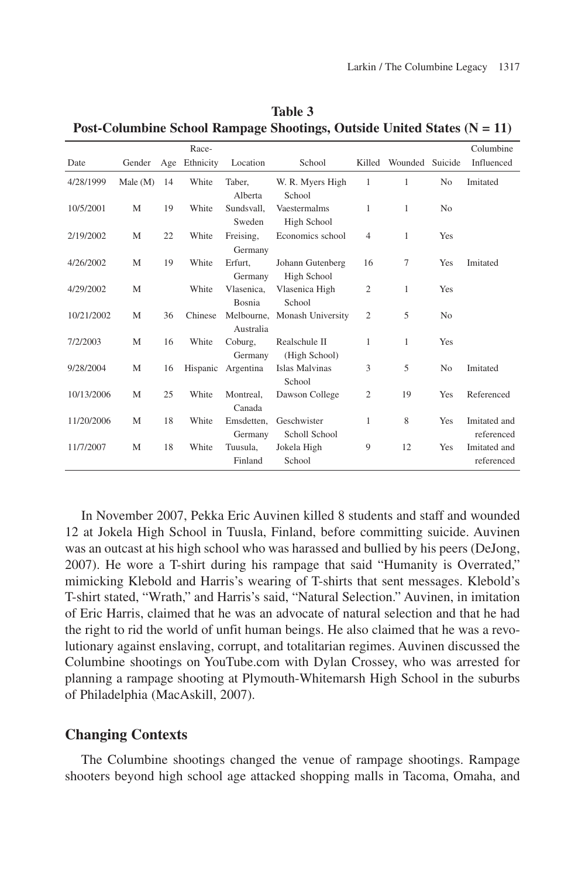| Date       | Gender     |    | Race-<br>Age Ethnicity | Location           | School                       | Killed         | Wounded Suicide |                | Columbine<br>Influenced |
|------------|------------|----|------------------------|--------------------|------------------------------|----------------|-----------------|----------------|-------------------------|
|            |            |    |                        |                    |                              |                |                 |                |                         |
| 4/28/1999  | Male $(M)$ | 14 | White                  | Taber,             | W. R. Myers High             | 1              | 1               | N <sub>o</sub> | Imitated                |
|            |            |    |                        | Alberta            | School                       |                |                 |                |                         |
| 10/5/2001  | M          | 19 | White                  | Sundsvall.         | Vaestermalms                 | 1              | 1               | N <sub>o</sub> |                         |
|            |            |    |                        | Sweden             | High School                  |                |                 |                |                         |
| 2/19/2002  | M          | 22 | White                  | Freising,          | Economics school             | 4              | 1               | Yes            |                         |
|            |            |    |                        | Germany            |                              |                |                 |                |                         |
| 4/26/2002  | M          | 19 | White                  | Erfurt,            | Johann Gutenberg             | 16             | 7               | Yes            | Imitated                |
|            |            |    |                        | Germany            | High School                  |                |                 |                |                         |
| 4/29/2002  | M          |    | White                  | Vlasenica,         | Vlasenica High               | $\mathfrak{2}$ | 1               | Yes            |                         |
|            |            |    |                        | <b>Bosnia</b>      | School                       |                |                 |                |                         |
| 10/21/2002 | М          | 36 | Chinese                |                    | Melbourne, Monash University | $\mathfrak{2}$ | 5               | N <sub>0</sub> |                         |
|            |            |    |                        | Australia          |                              |                |                 |                |                         |
| 7/2/2003   | M          | 16 | White                  | Coburg,            | Realschule II                | 1              | 1               | Yes            |                         |
|            |            |    |                        | Germany            | (High School)                |                |                 |                |                         |
| 9/28/2004  | М          | 16 |                        | Hispanic Argentina | Islas Malvinas               | 3              | 5               | N <sub>0</sub> | Imitated                |
|            |            |    |                        |                    | School                       |                |                 |                |                         |
| 10/13/2006 | M          | 25 | White                  | Montreal,          | Dawson College               | $\mathfrak{2}$ | 19              | Yes            | Referenced              |
|            |            |    |                        | Canada             |                              |                |                 |                |                         |
| 11/20/2006 | M          | 18 | White                  | Emsdetten,         | Geschwister                  | 1              | 8               | Yes            | Imitated and            |
|            |            |    |                        | Germany            | Scholl School                |                |                 |                | referenced              |
| 11/7/2007  | M          | 18 | White                  | Tuusula,           | Jokela High                  | 9              | 12              | Yes            | Imitated and            |
|            |            |    |                        | Finland            | School                       |                |                 |                | referenced              |
|            |            |    |                        |                    |                              |                |                 |                |                         |

**Table 3 Post-Columbine School Rampage Shootings, Outside United States (N = 11)**

In November 2007, Pekka Eric Auvinen killed 8 students and staff and wounded 12 at Jokela High School in Tuusla, Finland, before committing suicide. Auvinen was an outcast at his high school who was harassed and bullied by his peers (DeJong, 2007). He wore a T-shirt during his rampage that said "Humanity is Overrated," mimicking Klebold and Harris's wearing of T-shirts that sent messages. Klebold's T-shirt stated, "Wrath," and Harris's said, "Natural Selection." Auvinen, in imitation of Eric Harris, claimed that he was an advocate of natural selection and that he had the right to rid the world of unfit human beings. He also claimed that he was a revolutionary against enslaving, corrupt, and totalitarian regimes. Auvinen discussed the Columbine shootings on YouTube.com with Dylan Crossey, who was arrested for planning a rampage shooting at Plymouth-Whitemarsh High School in the suburbs of Philadelphia (MacAskill, 2007).

#### **Changing Contexts**

The Columbine shootings changed the venue of rampage shootings. Rampage shooters beyond high school age attacked shopping malls in Tacoma, Omaha, and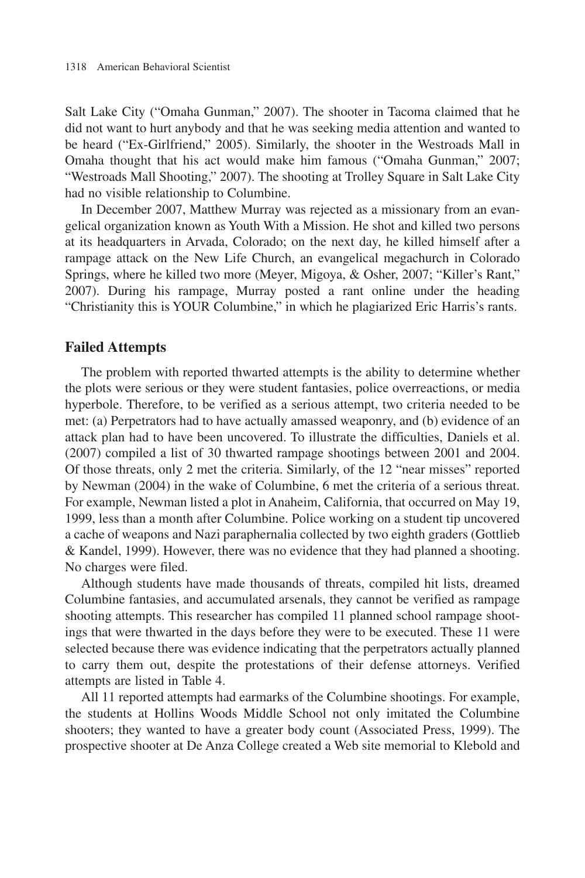Salt Lake City ("Omaha Gunman," 2007). The shooter in Tacoma claimed that he did not want to hurt anybody and that he was seeking media attention and wanted to be heard ("Ex-Girlfriend," 2005). Similarly, the shooter in the Westroads Mall in Omaha thought that his act would make him famous ("Omaha Gunman," 2007; "Westroads Mall Shooting," 2007). The shooting at Trolley Square in Salt Lake City had no visible relationship to Columbine.

In December 2007, Matthew Murray was rejected as a missionary from an evangelical organization known as Youth With a Mission. He shot and killed two persons at its headquarters in Arvada, Colorado; on the next day, he killed himself after a rampage attack on the New Life Church, an evangelical megachurch in Colorado Springs, where he killed two more (Meyer, Migoya, & Osher, 2007; "Killer's Rant," 2007). During his rampage, Murray posted a rant online under the heading "Christianity this is YOUR Columbine," in which he plagiarized Eric Harris's rants.

#### **Failed Attempts**

The problem with reported thwarted attempts is the ability to determine whether the plots were serious or they were student fantasies, police overreactions, or media hyperbole. Therefore, to be verified as a serious attempt, two criteria needed to be met: (a) Perpetrators had to have actually amassed weaponry, and (b) evidence of an attack plan had to have been uncovered. To illustrate the difficulties, Daniels et al. (2007) compiled a list of 30 thwarted rampage shootings between 2001 and 2004. Of those threats, only 2 met the criteria. Similarly, of the 12 "near misses" reported by Newman (2004) in the wake of Columbine, 6 met the criteria of a serious threat. For example, Newman listed a plot in Anaheim, California, that occurred on May 19, 1999, less than a month after Columbine. Police working on a student tip uncovered a cache of weapons and Nazi paraphernalia collected by two eighth graders (Gottlieb & Kandel, 1999). However, there was no evidence that they had planned a shooting. No charges were filed.

Although students have made thousands of threats, compiled hit lists, dreamed Columbine fantasies, and accumulated arsenals, they cannot be verified as rampage shooting attempts. This researcher has compiled 11 planned school rampage shootings that were thwarted in the days before they were to be executed. These 11 were selected because there was evidence indicating that the perpetrators actually planned to carry them out, despite the protestations of their defense attorneys. Verified attempts are listed in Table 4.

All 11 reported attempts had earmarks of the Columbine shootings. For example, the students at Hollins Woods Middle School not only imitated the Columbine shooters; they wanted to have a greater body count (Associated Press, 1999). The prospective shooter at De Anza College created a Web site memorial to Klebold and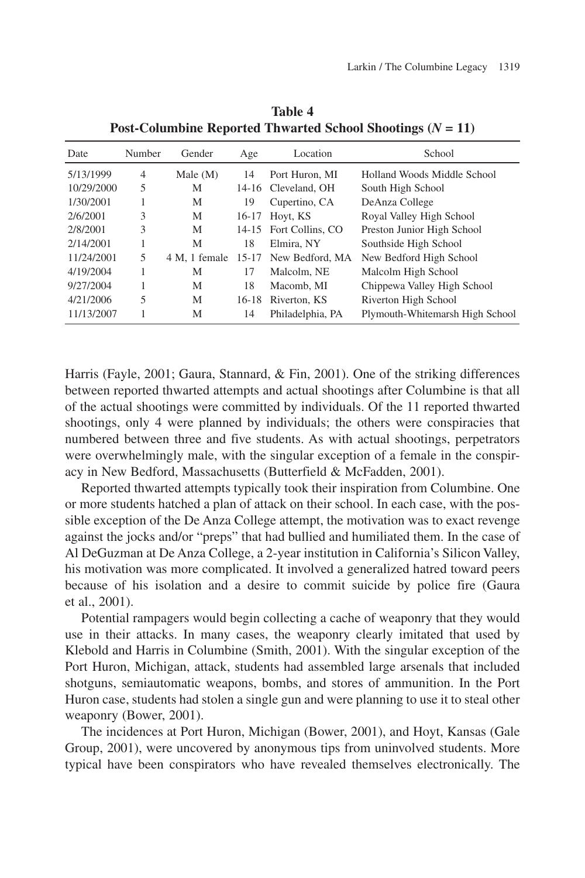| Date       | Number | Gender              | Age       | Location            | School                          |
|------------|--------|---------------------|-----------|---------------------|---------------------------------|
| 5/13/1999  | 4      | Male $(M)$          | 14        | Port Huron, MI      | Holland Woods Middle School     |
| 10/29/2000 | 5      | M                   |           | 14-16 Cleveland, OH | South High School               |
| 1/30/2001  |        | M                   | 19        | Cupertino, CA       | DeAnza College                  |
| 2/6/2001   | 3      | М                   | $16-17$   | Hoyt, KS            | Royal Valley High School        |
| 2/8/2001   | 3      | M                   | $14 - 15$ | Fort Collins, CO    | Preston Junior High School      |
| 2/14/2001  |        | M                   | 18        | Elmira, NY          | Southside High School           |
| 11/24/2001 | 5      | 4 M, 1 female 15-17 |           | New Bedford, MA     | New Bedford High School         |
| 4/19/2004  |        | M                   | 17        | Malcolm, NE         | Malcolm High School             |
| 9/27/2004  |        | M                   | 18        | Macomb, MI          | Chippewa Valley High School     |
| 4/21/2006  | 5      | M                   | $16-18$   | Riverton, KS        | Riverton High School            |
| 11/13/2007 |        | М                   | 14        | Philadelphia, PA    | Plymouth-Whitemarsh High School |

**Table 4 Post-Columbine Reported Thwarted School Shootings (***N* **= 11)**

Harris (Fayle, 2001; Gaura, Stannard, & Fin, 2001). One of the striking differences between reported thwarted attempts and actual shootings after Columbine is that all of the actual shootings were committed by individuals. Of the 11 reported thwarted shootings, only 4 were planned by individuals; the others were conspiracies that numbered between three and five students. As with actual shootings, perpetrators were overwhelmingly male, with the singular exception of a female in the conspiracy in New Bedford, Massachusetts (Butterfield & McFadden, 2001).

Reported thwarted attempts typically took their inspiration from Columbine. One or more students hatched a plan of attack on their school. In each case, with the possible exception of the De Anza College attempt, the motivation was to exact revenge against the jocks and/or "preps" that had bullied and humiliated them. In the case of Al DeGuzman at De Anza College, a 2-year institution in California's Silicon Valley, his motivation was more complicated. It involved a generalized hatred toward peers because of his isolation and a desire to commit suicide by police fire (Gaura et al., 2001).

Potential rampagers would begin collecting a cache of weaponry that they would use in their attacks. In many cases, the weaponry clearly imitated that used by Klebold and Harris in Columbine (Smith, 2001). With the singular exception of the Port Huron, Michigan, attack, students had assembled large arsenals that included shotguns, semiautomatic weapons, bombs, and stores of ammunition. In the Port Huron case, students had stolen a single gun and were planning to use it to steal other weaponry (Bower, 2001).

The incidences at Port Huron, Michigan (Bower, 2001), and Hoyt, Kansas (Gale Group, 2001), were uncovered by anonymous tips from uninvolved students. More typical have been conspirators who have revealed themselves electronically. The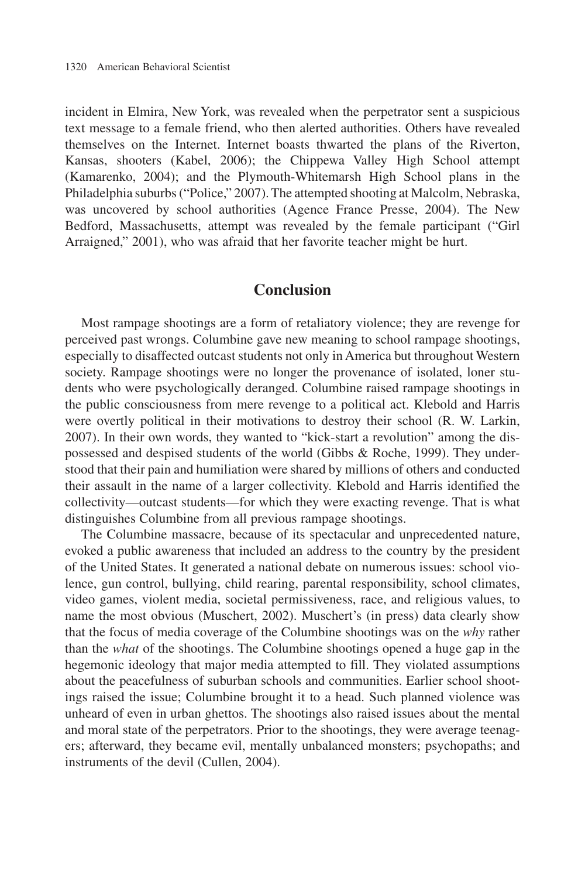incident in Elmira, New York, was revealed when the perpetrator sent a suspicious text message to a female friend, who then alerted authorities. Others have revealed themselves on the Internet. Internet boasts thwarted the plans of the Riverton, Kansas, shooters (Kabel, 2006); the Chippewa Valley High School attempt (Kamarenko, 2004); and the Plymouth-Whitemarsh High School plans in the Philadelphia suburbs ("Police," 2007). The attempted shooting at Malcolm, Nebraska, was uncovered by school authorities (Agence France Presse, 2004). The New Bedford, Massachusetts, attempt was revealed by the female participant ("Girl Arraigned," 2001), who was afraid that her favorite teacher might be hurt.

#### **Conclusion**

Most rampage shootings are a form of retaliatory violence; they are revenge for perceived past wrongs. Columbine gave new meaning to school rampage shootings, especially to disaffected outcast students not only in America but throughout Western society. Rampage shootings were no longer the provenance of isolated, loner students who were psychologically deranged. Columbine raised rampage shootings in the public consciousness from mere revenge to a political act. Klebold and Harris were overtly political in their motivations to destroy their school (R. W. Larkin, 2007). In their own words, they wanted to "kick-start a revolution" among the dispossessed and despised students of the world (Gibbs & Roche, 1999). They understood that their pain and humiliation were shared by millions of others and conducted their assault in the name of a larger collectivity. Klebold and Harris identified the collectivity—outcast students—for which they were exacting revenge. That is what distinguishes Columbine from all previous rampage shootings.

The Columbine massacre, because of its spectacular and unprecedented nature, evoked a public awareness that included an address to the country by the president of the United States. It generated a national debate on numerous issues: school violence, gun control, bullying, child rearing, parental responsibility, school climates, video games, violent media, societal permissiveness, race, and religious values, to name the most obvious (Muschert, 2002). Muschert's (in press) data clearly show that the focus of media coverage of the Columbine shootings was on the *why* rather than the *what* of the shootings. The Columbine shootings opened a huge gap in the hegemonic ideology that major media attempted to fill. They violated assumptions about the peacefulness of suburban schools and communities. Earlier school shootings raised the issue; Columbine brought it to a head. Such planned violence was unheard of even in urban ghettos. The shootings also raised issues about the mental and moral state of the perpetrators. Prior to the shootings, they were average teenagers; afterward, they became evil, mentally unbalanced monsters; psychopaths; and instruments of the devil (Cullen, 2004).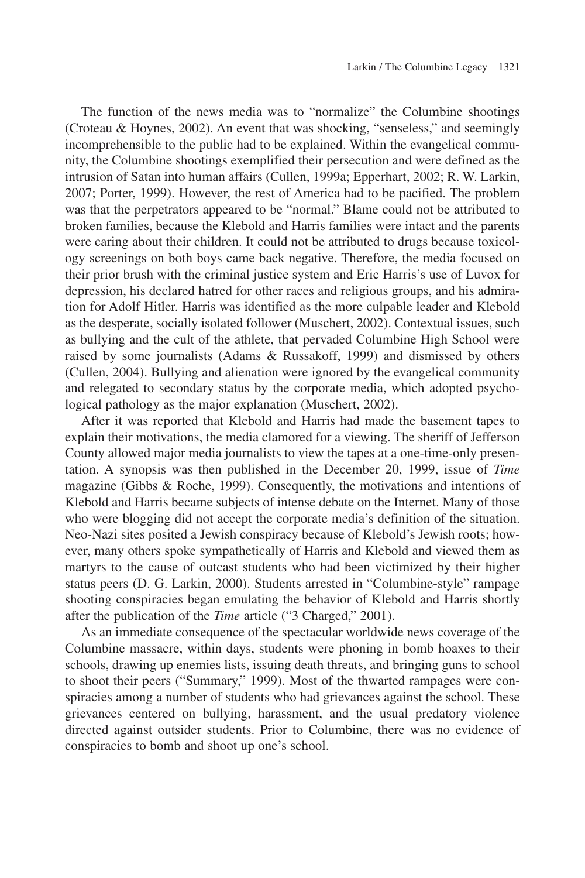The function of the news media was to "normalize" the Columbine shootings (Croteau & Hoynes, 2002). An event that was shocking, "senseless," and seemingly incomprehensible to the public had to be explained. Within the evangelical community, the Columbine shootings exemplified their persecution and were defined as the intrusion of Satan into human affairs (Cullen, 1999a; Epperhart, 2002; R. W. Larkin, 2007; Porter, 1999). However, the rest of America had to be pacified. The problem was that the perpetrators appeared to be "normal." Blame could not be attributed to broken families, because the Klebold and Harris families were intact and the parents were caring about their children. It could not be attributed to drugs because toxicology screenings on both boys came back negative. Therefore, the media focused on their prior brush with the criminal justice system and Eric Harris's use of Luvox for depression, his declared hatred for other races and religious groups, and his admiration for Adolf Hitler. Harris was identified as the more culpable leader and Klebold as the desperate, socially isolated follower (Muschert, 2002). Contextual issues, such as bullying and the cult of the athlete, that pervaded Columbine High School were raised by some journalists (Adams & Russakoff, 1999) and dismissed by others (Cullen, 2004). Bullying and alienation were ignored by the evangelical community and relegated to secondary status by the corporate media, which adopted psychological pathology as the major explanation (Muschert, 2002).

After it was reported that Klebold and Harris had made the basement tapes to explain their motivations, the media clamored for a viewing. The sheriff of Jefferson County allowed major media journalists to view the tapes at a one-time-only presentation. A synopsis was then published in the December 20, 1999, issue of *Time* magazine (Gibbs & Roche, 1999). Consequently, the motivations and intentions of Klebold and Harris became subjects of intense debate on the Internet. Many of those who were blogging did not accept the corporate media's definition of the situation. Neo-Nazi sites posited a Jewish conspiracy because of Klebold's Jewish roots; however, many others spoke sympathetically of Harris and Klebold and viewed them as martyrs to the cause of outcast students who had been victimized by their higher status peers (D. G. Larkin, 2000). Students arrested in "Columbine-style" rampage shooting conspiracies began emulating the behavior of Klebold and Harris shortly after the publication of the *Time* article ("3 Charged," 2001).

As an immediate consequence of the spectacular worldwide news coverage of the Columbine massacre, within days, students were phoning in bomb hoaxes to their schools, drawing up enemies lists, issuing death threats, and bringing guns to school to shoot their peers ("Summary," 1999). Most of the thwarted rampages were conspiracies among a number of students who had grievances against the school. These grievances centered on bullying, harassment, and the usual predatory violence directed against outsider students. Prior to Columbine, there was no evidence of conspiracies to bomb and shoot up one's school.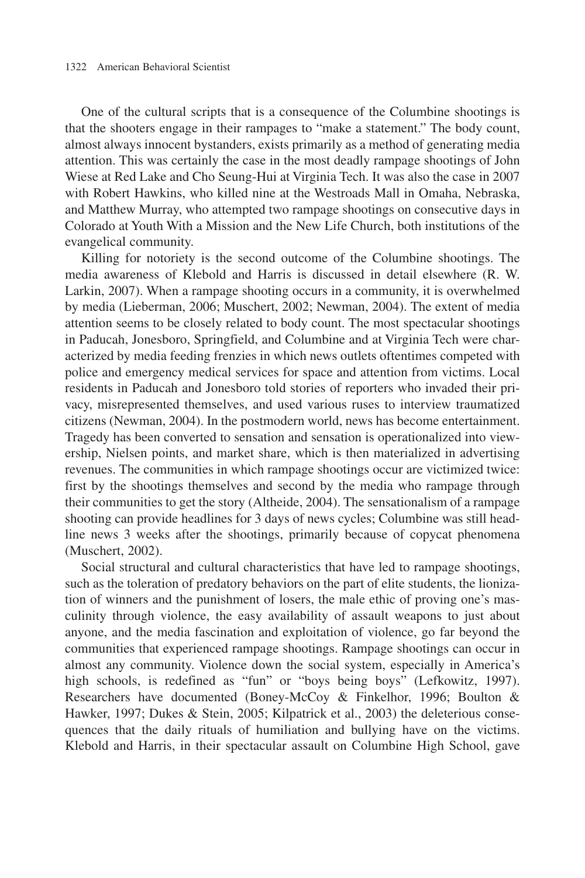One of the cultural scripts that is a consequence of the Columbine shootings is that the shooters engage in their rampages to "make a statement." The body count, almost always innocent bystanders, exists primarily as a method of generating media attention. This was certainly the case in the most deadly rampage shootings of John Wiese at Red Lake and Cho Seung-Hui at Virginia Tech. It was also the case in 2007 with Robert Hawkins, who killed nine at the Westroads Mall in Omaha, Nebraska, and Matthew Murray, who attempted two rampage shootings on consecutive days in Colorado at Youth With a Mission and the New Life Church, both institutions of the evangelical community.

Killing for notoriety is the second outcome of the Columbine shootings. The media awareness of Klebold and Harris is discussed in detail elsewhere (R. W. Larkin, 2007). When a rampage shooting occurs in a community, it is overwhelmed by media (Lieberman, 2006; Muschert, 2002; Newman, 2004). The extent of media attention seems to be closely related to body count. The most spectacular shootings in Paducah, Jonesboro, Springfield, and Columbine and at Virginia Tech were characterized by media feeding frenzies in which news outlets oftentimes competed with police and emergency medical services for space and attention from victims. Local residents in Paducah and Jonesboro told stories of reporters who invaded their privacy, misrepresented themselves, and used various ruses to interview traumatized citizens (Newman, 2004). In the postmodern world, news has become entertainment. Tragedy has been converted to sensation and sensation is operationalized into viewership, Nielsen points, and market share, which is then materialized in advertising revenues. The communities in which rampage shootings occur are victimized twice: first by the shootings themselves and second by the media who rampage through their communities to get the story (Altheide, 2004). The sensationalism of a rampage shooting can provide headlines for 3 days of news cycles; Columbine was still headline news 3 weeks after the shootings, primarily because of copycat phenomena (Muschert, 2002).

Social structural and cultural characteristics that have led to rampage shootings, such as the toleration of predatory behaviors on the part of elite students, the lionization of winners and the punishment of losers, the male ethic of proving one's masculinity through violence, the easy availability of assault weapons to just about anyone, and the media fascination and exploitation of violence, go far beyond the communities that experienced rampage shootings. Rampage shootings can occur in almost any community. Violence down the social system, especially in America's high schools, is redefined as "fun" or "boys being boys" (Lefkowitz, 1997). Researchers have documented (Boney-McCoy & Finkelhor, 1996; Boulton & Hawker, 1997; Dukes & Stein, 2005; Kilpatrick et al., 2003) the deleterious consequences that the daily rituals of humiliation and bullying have on the victims. Klebold and Harris, in their spectacular assault on Columbine High School, gave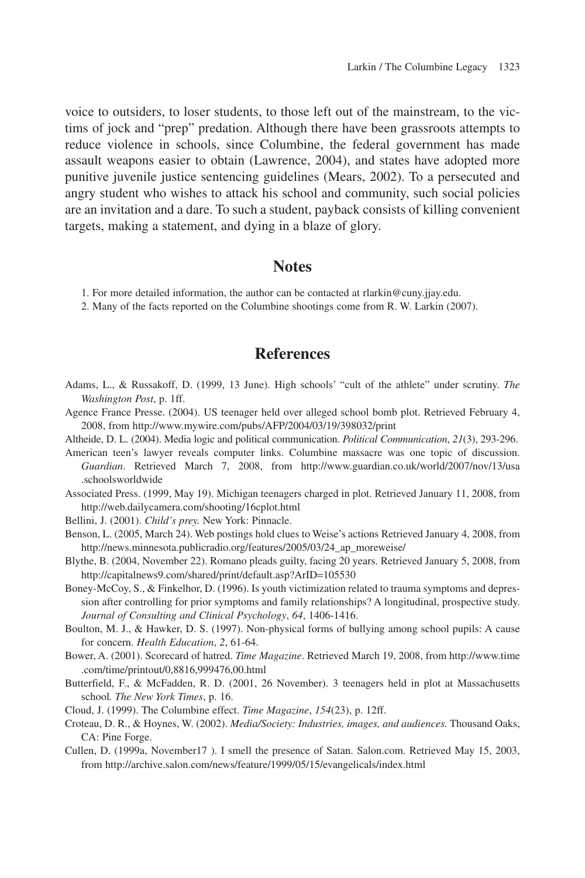voice to outsiders, to loser students, to those left out of the mainstream, to the victims of jock and "prep" predation. Although there have been grassroots attempts to reduce violence in schools, since Columbine, the federal government has made assault weapons easier to obtain (Lawrence, 2004), and states have adopted more punitive juvenile justice sentencing guidelines (Mears, 2002). To a persecuted and angry student who wishes to attack his school and community, such social policies are an invitation and a dare. To such a student, payback consists of killing convenient targets, making a statement, and dying in a blaze of glory.

#### **Notes**

- 1. For more detailed information, the author can be contacted at rlarkin@cuny.jjay.edu.
- 2. Many of the facts reported on the Columbine shootings come from R. W. Larkin (2007).

#### **References**

- Adams, L., & Russakoff, D. (1999, 13 June). High schools' "cult of the athlete" under scrutiny. *The Washington Post*, p. 1ff.
- Agence France Presse. (2004). US teenager held over alleged school bomb plot. Retrieved February 4, 2008, from http://www.mywire.com/pubs/AFP/2004/03/19/398032/print
- Altheide, D. L. (2004). Media logic and political communication. *Political Communication*, *21*(3), 293-296.
- American teen's lawyer reveals computer links. Columbine massacre was one topic of discussion. *Guardian*. Retrieved March 7, 2008, from http://www.guardian.co.uk/world/2007/nov/13/usa .schoolsworldwide
- Associated Press. (1999, May 19). Michigan teenagers charged in plot. Retrieved January 11, 2008, from http://web.dailycamera.com/shooting/16cplot.html
- Bellini, J. (2001). *Child's prey.* New York: Pinnacle.
- Benson, L. (2005, March 24). Web postings hold clues to Weise's actions Retrieved January 4, 2008, from http://news.minnesota.publicradio.org/features/2005/03/24\_ap\_moreweise/
- Blythe, B. (2004, November 22). Romano pleads guilty, facing 20 years. Retrieved January 5, 2008, from http://capitalnews9.com/shared/print/default.asp?ArID=105530
- Boney-McCoy, S., & Finkelhor, D. (1996). Is youth victimization related to trauma symptoms and depression after controlling for prior symptoms and family relationships? A longitudinal, prospective study. *Journal of Consulting and Clinical Psychology*, *64*, 1406-1416.
- Boulton, M. J., & Hawker, D. S. (1997). Non-physical forms of bullying among school pupils: A cause for concern. *Health Education*, *2*, 61-64.
- Bower, A. (2001). Scorecard of hatred. *Time Magazine*. Retrieved March 19, 2008, from http://www.time .com/time/printout/0,8816,999476,00.html
- Butterfield, F., & McFadden, R. D. (2001, 26 November). 3 teenagers held in plot at Massachusetts school*. The New York Times*, p. 16.
- Cloud, J. (1999). The Columbine effect. *Time Magazine*, *154*(23), p. 12ff.
- Croteau, D. R., & Hoynes, W. (2002). *Media/Society: Industries, images, and audiences.* Thousand Oaks, CA: Pine Forge.
- Cullen, D. (1999a, November17 ). I smell the presence of Satan. Salon.com. Retrieved May 15, 2003, from http://archive.salon.com/news/feature/1999/05/15/evangelicals/index.html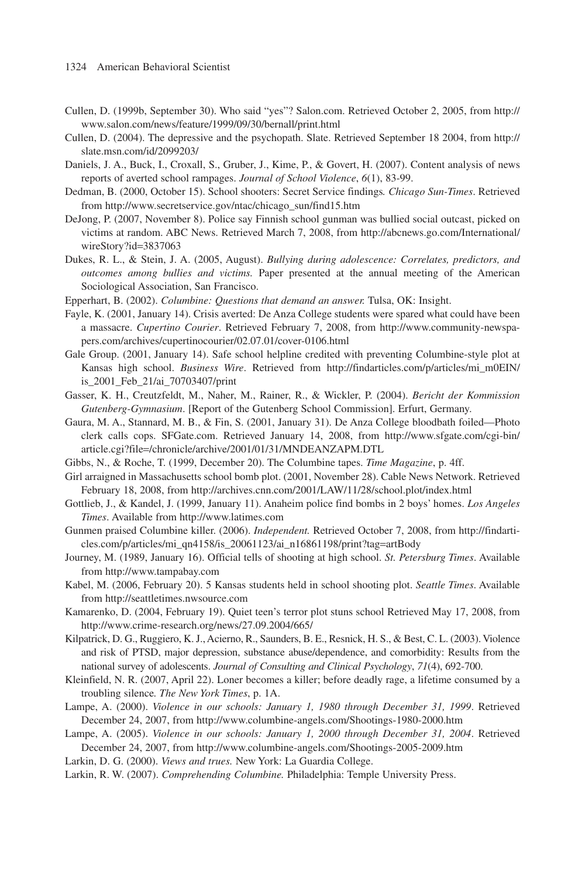#### 1324 American Behavioral Scientist

- Cullen, D. (1999b, September 30). Who said "yes"? Salon.com. Retrieved October 2, 2005, from http:// www.salon.com/news/feature/1999/09/30/bernall/print.html
- Cullen, D. (2004). The depressive and the psychopath. Slate. Retrieved September 18 2004, from http:// slate.msn.com/id/2099203/
- Daniels, J. A., Buck, I., Croxall, S., Gruber, J., Kime, P., & Govert, H. (2007). Content analysis of news reports of averted school rampages. *Journal of School Violence*, *6*(1), 83-99.
- Dedman, B. (2000, October 15). School shooters: Secret Service findings*. Chicago Sun-Times*. Retrieved from http://www.secretservice.gov/ntac/chicago\_sun/find15.htm
- DeJong, P. (2007, November 8). Police say Finnish school gunman was bullied social outcast, picked on victims at random. ABC News. Retrieved March 7, 2008, from http://abcnews.go.com/International/ wireStory?id=3837063
- Dukes, R. L., & Stein, J. A. (2005, August). *Bullying during adolescence: Correlates, predictors, and outcomes among bullies and victims.* Paper presented at the annual meeting of the American Sociological Association, San Francisco.
- Epperhart, B. (2002). *Columbine: Questions that demand an answer.* Tulsa, OK: Insight.
- Fayle, K. (2001, January 14). Crisis averted: De Anza College students were spared what could have been a massacre. *Cupertino Courier*. Retrieved February 7, 2008, from http://www.community-newspapers.com/archives/cupertinocourier/02.07.01/cover-0106.html
- Gale Group. (2001, January 14). Safe school helpline credited with preventing Columbine-style plot at Kansas high school. *Business Wire*. Retrieved from http://findarticles.com/p/articles/mi\_m0EIN/ is\_2001\_Feb\_21/ai\_70703407/print
- Gasser, K. H., Creutzfeldt, M., Naher, M., Rainer, R., & Wickler, P. (2004). *Bericht der Kommission Gutenberg-Gymnasium*. [Report of the Gutenberg School Commission]. Erfurt, Germany.
- Gaura, M. A., Stannard, M. B., & Fin, S. (2001, January 31). De Anza College bloodbath foiled—Photo clerk calls cops. SFGate.com. Retrieved January 14, 2008, from http://www.sfgate.com/cgi-bin/ article.cgi?file=/chronicle/archive/2001/01/31/MNDEANZAPM.DTL
- Gibbs, N., & Roche, T. (1999, December 20). The Columbine tapes. *Time Magazine*, p. 4ff.
- Girl arraigned in Massachusetts school bomb plot. (2001, November 28). Cable News Network. Retrieved February 18, 2008, from http://archives.cnn.com/2001/LAW/11/28/school.plot/index.html
- Gottlieb, J., & Kandel, J. (1999, January 11). Anaheim police find bombs in 2 boys' homes. *Los Angeles Times*. Available from http://www.latimes.com
- Gunmen praised Columbine killer. (2006). *Independent.* Retrieved October 7, 2008, from http://findarticles.com/p/articles/mi\_qn4158/is\_20061123/ai\_n16861198/print?tag=artBody
- Journey, M. (1989, January 16). Official tells of shooting at high school. *St. Petersburg Times*. Available from http://www.tampabay.com
- Kabel, M. (2006, February 20). 5 Kansas students held in school shooting plot. *Seattle Times*. Available from http://seattletimes.nwsource.com
- Kamarenko, D. (2004, February 19). Quiet teen's terror plot stuns school Retrieved May 17, 2008, from http://www.crime-research.org/news/27.09.2004/665/
- Kilpatrick, D. G., Ruggiero, K. J., Acierno, R., Saunders, B. E., Resnick, H. S., & Best, C. L. (2003). Violence and risk of PTSD, major depression, substance abuse/dependence, and comorbidity: Results from the national survey of adolescents. *Journal of Consulting and Clinical Psychology*, *71*(4), 692-700.
- Kleinfield, N. R. (2007, April 22). Loner becomes a killer; before deadly rage, a lifetime consumed by a troubling silence*. The New York Times*, p. 1A.
- Lampe, A. (2000). *Violence in our schools: January 1, 1980 through December 31, 1999*. Retrieved December 24, 2007, from http://www.columbine-angels.com/Shootings-1980-2000.htm
- Lampe, A. (2005). *Violence in our schools: January 1, 2000 through December 31, 2004*. Retrieved December 24, 2007, from http://www.columbine-angels.com/Shootings-2005-2009.htm
- Larkin, D. G. (2000). *Views and trues.* New York: La Guardia College.
- Larkin, R. W. (2007). *Comprehending Columbine.* Philadelphia: Temple University Press.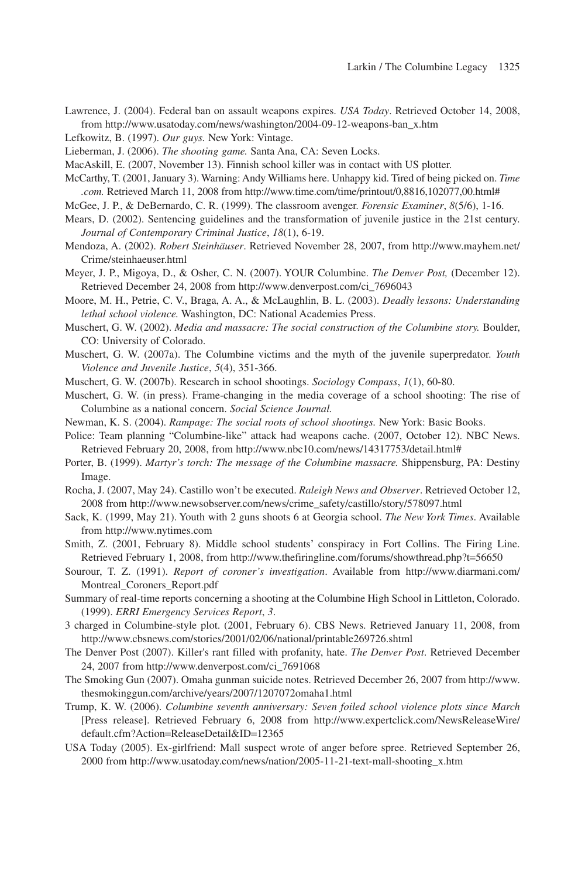Lawrence, J. (2004). Federal ban on assault weapons expires. *USA Today*. Retrieved October 14, 2008, from http://www.usatoday.com/news/washington/2004-09-12-weapons-ban\_x.htm

Lefkowitz, B. (1997). *Our guys.* New York: Vintage.

Lieberman, J. (2006). *The shooting game.* Santa Ana, CA: Seven Locks.

MacAskill, E. (2007, November 13). Finnish school killer was in contact with US plotter.

McCarthy, T. (2001, January 3). Warning: Andy Williams here. Unhappy kid. Tired of being picked on. *Time .com.* Retrieved March 11, 2008 from http://www.time.com/time/printout/0,8816,102077,00.html#

McGee, J. P., & DeBernardo, C. R. (1999). The classroom avenger. *Forensic Examiner*, *8*(5/6), 1-16.

Mears, D. (2002). Sentencing guidelines and the transformation of juvenile justice in the 21st century. *Journal of Contemporary Criminal Justice*, *18*(1), 6-19.

Mendoza, A. (2002). *Robert Steinhäuser*. Retrieved November 28, 2007, from http://www.mayhem.net/ Crime/steinhaeuser.html

Meyer, J. P., Migoya, D., & Osher, C. N. (2007). YOUR Columbine. *The Denver Post,* (December 12). Retrieved December 24, 2008 from http://www.denverpost.com/ci\_7696043

Moore, M. H., Petrie, C. V., Braga, A. A., & McLaughlin, B. L. (2003). *Deadly lessons: Understanding lethal school violence.* Washington, DC: National Academies Press.

- Muschert, G. W. (2002). *Media and massacre: The social construction of the Columbine story.* Boulder, CO: University of Colorado.
- Muschert, G. W. (2007a). The Columbine victims and the myth of the juvenile superpredator. *Youth Violence and Juvenile Justice*, *5*(4), 351-366.

Muschert, G. W. (2007b). Research in school shootings. *Sociology Compass*, *1*(1), 60-80.

Muschert, G. W. (in press). Frame-changing in the media coverage of a school shooting: The rise of Columbine as a national concern. *Social Science Journal.*

Newman, K. S. (2004). *Rampage: The social roots of school shootings.* New York: Basic Books.

Police: Team planning "Columbine-like" attack had weapons cache. (2007, October 12). NBC News. Retrieved February 20, 2008, from http://www.nbc10.com/news/14317753/detail.html#

- Porter, B. (1999). *Martyr's torch: The message of the Columbine massacre.* Shippensburg, PA: Destiny Image.
- Rocha, J. (2007, May 24). Castillo won't be executed. *Raleigh News and Observer*. Retrieved October 12, 2008 from http://www.newsobserver.com/news/crime\_safety/castillo/story/578097.html
- Sack, K. (1999, May 21). Youth with 2 guns shoots 6 at Georgia school. *The New York Times*. Available from http://www.nytimes.com
- Smith, Z. (2001, February 8). Middle school students' conspiracy in Fort Collins. The Firing Line. Retrieved February 1, 2008, from http://www.thefiringline.com/forums/showthread.php?t=56650
- Sourour, T. Z. (1991). *Report of coroner's investigation*. Available from http://www.diarmani.com/ Montreal\_Coroners\_Report.pdf
- Summary of real-time reports concerning a shooting at the Columbine High School in Littleton, Colorado. (1999). *ERRI Emergency Services Report*, *3*.

3 charged in Columbine-style plot. (2001, February 6). CBS News. Retrieved January 11, 2008, from http://www.cbsnews.com/stories/2001/02/06/national/printable269726.shtml

The Denver Post (2007). Killer's rant filled with profanity, hate. *The Denver Post*. Retrieved December 24, 2007 from http://www.denverpost.com/ci\_7691068

The Smoking Gun (2007). Omaha gunman suicide notes. Retrieved December 26, 2007 from http://www. thesmokinggun.com/archive/years/2007/1207072omaha1.html

- Trump, K. W. (2006). *Columbine seventh anniversary: Seven foiled school violence plots since March* [Press release]. Retrieved February 6, 2008 from http://www.expertclick.com/NewsReleaseWire/ default.cfm?Action=ReleaseDetail&ID=12365
- USA Today (2005). Ex-girlfriend: Mall suspect wrote of anger before spree. Retrieved September 26, 2000 from http://www.usatoday.com/news/nation/2005-11-21-text-mall-shooting\_x.htm